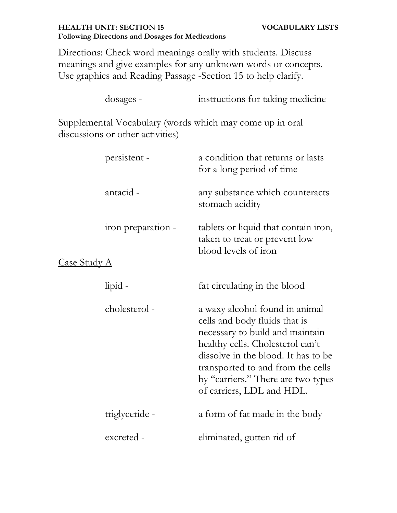### **HEALTH UNIT: SECTION 15 VOCABULARY LISTS Following Directions and Dosages for Medications**

Directions: Check word meanings orally with students. Discuss meanings and give examples for any unknown words or concepts. Use graphics and Reading Passage -Section 15 to help clarify.

|                     | dosages -                        | instructions for taking medicine                                                                                                                                                                                                                                                      |
|---------------------|----------------------------------|---------------------------------------------------------------------------------------------------------------------------------------------------------------------------------------------------------------------------------------------------------------------------------------|
|                     | discussions or other activities) | Supplemental Vocabulary (words which may come up in oral                                                                                                                                                                                                                              |
|                     | persistent -                     | a condition that returns or lasts<br>for a long period of time                                                                                                                                                                                                                        |
|                     | antacid -                        | any substance which counteracts<br>stomach acidity                                                                                                                                                                                                                                    |
|                     | iron preparation -               | tablets or liquid that contain iron,<br>taken to treat or prevent low<br>blood levels of iron                                                                                                                                                                                         |
| <u>Case Study A</u> |                                  |                                                                                                                                                                                                                                                                                       |
|                     | lipid -                          | fat circulating in the blood                                                                                                                                                                                                                                                          |
|                     | cholesterol -                    | a waxy alcohol found in animal<br>cells and body fluids that is<br>necessary to build and maintain<br>healthy cells. Cholesterol can't<br>dissolve in the blood. It has to be<br>transported to and from the cells<br>by "carriers." There are two types<br>of carriers, LDL and HDL. |
|                     | triglyceride -                   | a form of fat made in the body                                                                                                                                                                                                                                                        |
|                     | excreted -                       | eliminated, gotten rid of                                                                                                                                                                                                                                                             |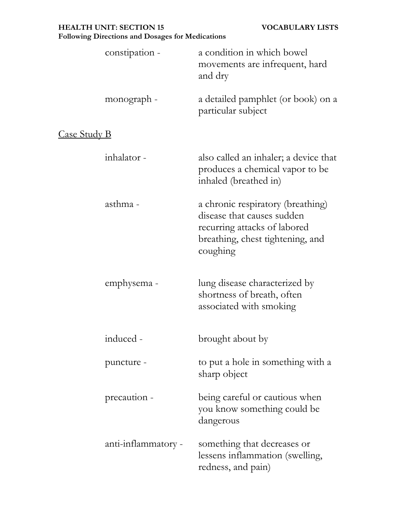|                     | constipation -      | a condition in which bowel<br>movements are infrequent, hard<br>and dry                                                                         |
|---------------------|---------------------|-------------------------------------------------------------------------------------------------------------------------------------------------|
|                     | monograph -         | a detailed pamphlet (or book) on a<br>particular subject                                                                                        |
| <u>Case Study B</u> |                     |                                                                                                                                                 |
|                     | inhalator -         | also called an inhaler; a device that<br>produces a chemical vapor to be<br>inhaled (breathed in)                                               |
|                     | asthma -            | a chronic respiratory (breathing)<br>disease that causes sudden<br>recurring attacks of labored<br>breathing, chest tightening, and<br>coughing |
|                     | emphysema -         | lung disease characterized by<br>shortness of breath, often<br>associated with smoking                                                          |
|                     | induced -           | brought about by                                                                                                                                |
|                     | puncture -          | to put a hole in something with a<br>sharp object                                                                                               |
|                     | precaution -        | being careful or cautious when<br>you know something could be<br>dangerous                                                                      |
|                     | anti-inflammatory - | something that decreases or<br>lessens inflammation (swelling,<br>redness, and pain)                                                            |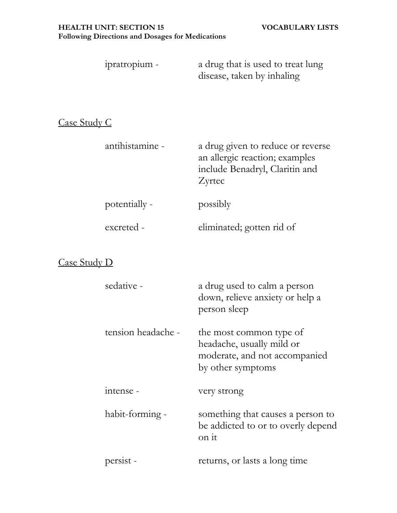| ipratropium - | a drug that is used to treat lung |
|---------------|-----------------------------------|
|               | disease, taken by inhaling        |

# Case Study C

| antihistamine - | a drug given to reduce or reverse<br>an allergic reaction; examples<br>include Benadryl, Claritin and<br>Zyrtec |
|-----------------|-----------------------------------------------------------------------------------------------------------------|
| potentially -   | possibly                                                                                                        |
| excreted -      | eliminated; gotten rid of                                                                                       |

## Case Study D

| sedative -         | a drug used to calm a person<br>down, relieve anxiety or help a<br>person sleep                            |
|--------------------|------------------------------------------------------------------------------------------------------------|
| tension headache - | the most common type of<br>headache, usually mild or<br>moderate, and not accompanied<br>by other symptoms |
| intense -          | very strong                                                                                                |
| habit-forming -    | something that causes a person to<br>be addicted to or to overly depend<br>on it                           |
| persist -          | returns, or lasts a long time                                                                              |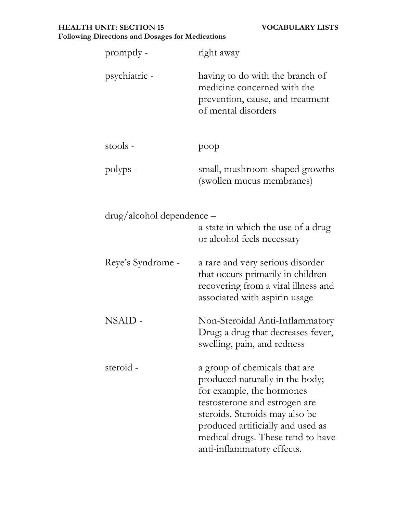### **HEALTH UNIT: SECTION 15 VOCABULARY LISTS Following Directions and Dosages for Medications**

| promptly -                | right away                                                                                                                                                                                                                                                               |
|---------------------------|--------------------------------------------------------------------------------------------------------------------------------------------------------------------------------------------------------------------------------------------------------------------------|
| psychiatric -             | having to do with the branch of<br>medicine concerned with the<br>prevention, cause, and treatment<br>of mental disorders                                                                                                                                                |
| stools -                  | poop                                                                                                                                                                                                                                                                     |
| polyps -                  | small, mushroom-shaped growths<br>(swollen mucus membranes)                                                                                                                                                                                                              |
| drug/alcohol dependence – | a state in which the use of a drug<br>or alcohol feels necessary                                                                                                                                                                                                         |
| Reye's Syndrome -         | a rare and very serious disorder<br>that occurs primarily in children<br>recovering from a viral illness and<br>associated with aspirin usage                                                                                                                            |
| NSAID -                   | Non-Steroidal Anti-Inflammatory<br>Drug; a drug that decreases fever,<br>swelling, pain, and redness                                                                                                                                                                     |
| steroid -                 | a group of chemicals that are<br>produced naturally in the body;<br>for example, the hormones<br>testosterone and estrogen are<br>steroids. Steroids may also be<br>produced artificially and used as<br>medical drugs. These tend to have<br>anti-inflammatory effects. |